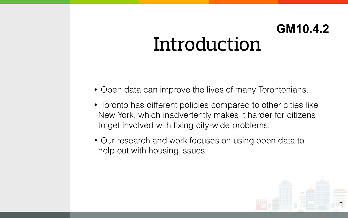• Open data can improve the lives of many Torontonians.

• Toronto has different policies compared to other cities like New York, which inadvertently makes it harder for citizens to get involved with fixing city-wide problems.

### Introduction **GM10.4.2**

• Our research and work focuses on using open data to help out with housing issues.





1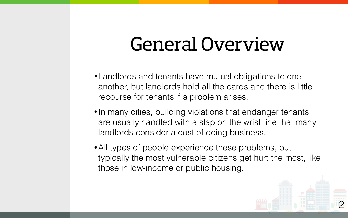- -
- 
- 

### General Overview

•Landlords and tenants have mutual obligations to one another, but landlords hold all the cards and there is little recourse for tenants if a problem arises.

• In many cities, building violations that endanger tenants are usually handled with a slap on the wrist fine that many landlords consider a cost of doing business.

•All types of people experience these problems, but typically the most vulnerable citizens get hurt the most, like those in low-income or public housing.



2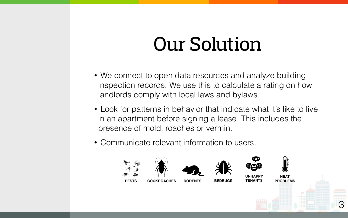- 
- 
- 

# Our Solution

• We connect to open data resources and analyze building inspection records. We use this to calculate a rating on how landlords comply with local laws and bylaws.

• Look for patterns in behavior that indicate what it's like to live in an apartment before signing a lease. This includes the presence of mold, roaches or vermin.

• Communicate relevant information to users.









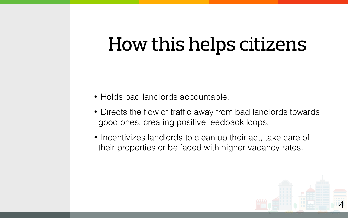### How this helps citizens

• Holds bad landlords accountable.

• Directs the flow of traffic away from bad landlords towards good ones, creating positive feedback loops.

• Incentivizes landlords to clean up their act, take care of their properties or be faced with higher vacancy rates.



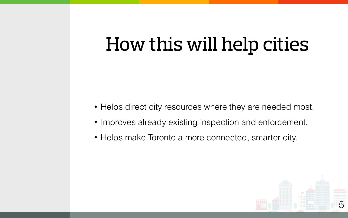## How this will help cities

• Helps direct city resources where they are needed most. • Improves already existing inspection and enforcement. • Helps make Toronto a more connected, smarter city.